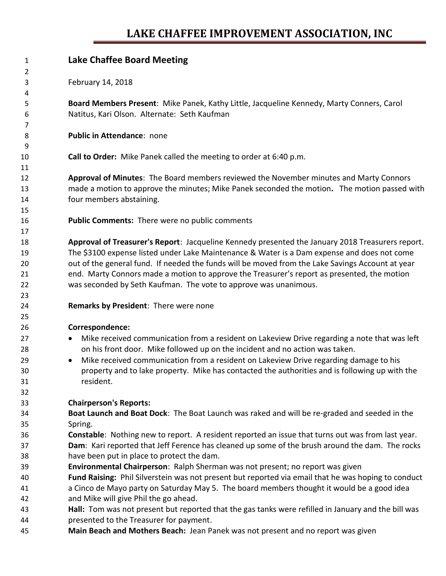## **LAKE CHAFFEE IMPROVEMENT ASSOCIATION, INC**

| 1  | <b>Lake Chaffee Board Meeting</b>                                                                   |
|----|-----------------------------------------------------------------------------------------------------|
| 2  |                                                                                                     |
| 3  | February 14, 2018                                                                                   |
| 4  |                                                                                                     |
| 5  | Board Members Present: Mike Panek, Kathy Little, Jacqueline Kennedy, Marty Conners, Carol           |
| 6  | Natitus, Kari Olson. Alternate: Seth Kaufman                                                        |
| 7  |                                                                                                     |
| 8  | Public in Attendance: none                                                                          |
| 9  |                                                                                                     |
| 10 | Call to Order: Mike Panek called the meeting to order at 6:40 p.m.                                  |
| 11 |                                                                                                     |
| 12 | Approval of Minutes: The Board members reviewed the November minutes and Marty Connors              |
| 13 | made a motion to approve the minutes; Mike Panek seconded the motion. The motion passed with        |
| 14 | four members abstaining.                                                                            |
| 15 |                                                                                                     |
| 16 | Public Comments: There were no public comments                                                      |
| 17 |                                                                                                     |
| 18 | Approval of Treasurer's Report: Jacqueline Kennedy presented the January 2018 Treasurers report.    |
| 19 | The \$3100 expense listed under Lake Maintenance & Water is a Dam expense and does not come         |
| 20 | out of the general fund. If needed the funds will be moved from the Lake Savings Account at year    |
| 21 | end. Marty Connors made a motion to approve the Treasurer's report as presented, the motion         |
| 22 | was seconded by Seth Kaufman. The vote to approve was unanimous.                                    |
| 23 |                                                                                                     |
| 24 | Remarks by President: There were none                                                               |
| 25 |                                                                                                     |
| 26 | Correspondence:                                                                                     |
| 27 | Mike received communication from a resident on Lakeview Drive regarding a note that was left        |
| 28 | on his front door. Mike followed up on the incident and no action was taken.                        |
| 29 | Mike received communication from a resident on Lakeview Drive regarding damage to his               |
| 30 | property and to lake property. Mike has contacted the authorities and is following up with the      |
| 31 | resident.                                                                                           |
| 32 |                                                                                                     |
| 33 | <b>Chairperson's Reports:</b>                                                                       |
| 34 | Boat Launch and Boat Dock: The Boat Launch was raked and will be re-graded and seeded in the        |
| 35 | Spring.                                                                                             |
| 36 | Constable: Nothing new to report. A resident reported an issue that turns out was from last year.   |
| 37 | Dam: Kari reported that Jeff Ference has cleaned up some of the brush around the dam. The rocks     |
| 38 | have been put in place to protect the dam.                                                          |
| 39 | Environmental Chairperson: Ralph Sherman was not present; no report was given                       |
| 40 | Fund Raising: Phil Silverstein was not present but reported via email that he was hoping to conduct |
| 41 | a Cinco de Mayo party on Saturday May 5. The board members thought it would be a good idea          |
| 42 | and Mike will give Phil the go ahead.                                                               |
| 43 | Hall: Tom was not present but reported that the gas tanks were refilled in January and the bill was |
| 44 | presented to the Treasurer for payment.                                                             |
| 45 | Main Beach and Mothers Beach: Jean Panek was not present and no report was given                    |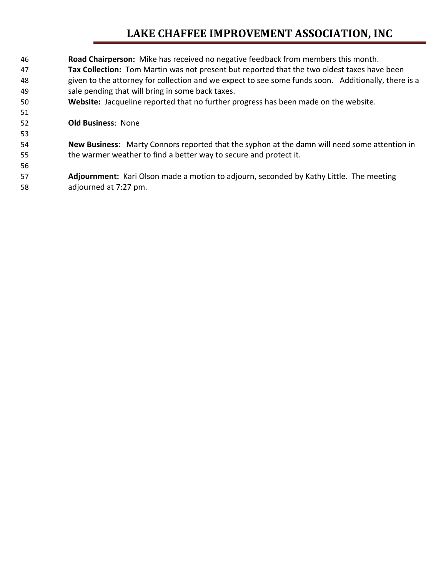## **LAKE CHAFFEE IMPROVEMENT ASSOCIATION, INC**

- **Road Chairperson:** Mike has received no negative feedback from members this month. **Tax Collection:** Tom Martin was not present but reported that the two oldest taxes have been given to the attorney for collection and we expect to see some funds soon. Additionally, there is a sale pending that will bring in some back taxes. **Website:** Jacqueline reported that no further progress has been made on the website. **Old Business**: None **New Business**: Marty Connors reported that the syphon at the damn will need some attention in the warmer weather to find a better way to secure and protect it.
- **Adjournment:** Kari Olson made a motion to adjourn, seconded by Kathy Little. The meeting adjourned at 7:27 pm.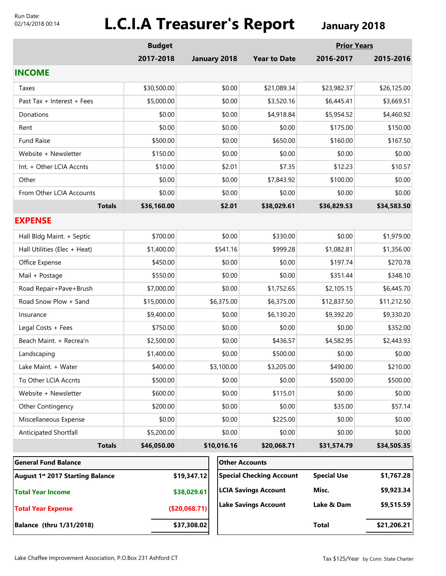#### Run Date: 02/14/2018 00:14

# **L.C.I.A Treasurer's Report January 2018**

|                                         | <b>Budget</b> |               |                                 |                             | <b>Prior Years</b> |             |
|-----------------------------------------|---------------|---------------|---------------------------------|-----------------------------|--------------------|-------------|
|                                         | 2017-2018     |               | January 2018                    | <b>Year to Date</b>         | 2016-2017          | 2015-2016   |
| <b>INCOME</b>                           |               |               |                                 |                             |                    |             |
| Taxes                                   | \$30,500.00   | \$0.00        |                                 | \$21,089.34                 | \$23,982.37        | \$26,125.00 |
| Past Tax + Interest + Fees              | \$5,000.00    | \$0.00        |                                 | \$3,520.16                  | \$6,445.41         | \$3,669.51  |
| Donations                               | \$0.00        |               | \$0.00                          | \$4,918.84                  | \$5,954.52         | \$4,460.92  |
| Rent                                    | \$0.00        |               | \$0.00                          | \$0.00                      | \$175.00           | \$150.00    |
| <b>Fund Raise</b>                       | \$500.00      |               | \$0.00                          | \$650.00                    | \$160.00           | \$167.50    |
| Website + Newsletter                    | \$150.00      |               | \$0.00                          | \$0.00                      | \$0.00             | \$0.00      |
| Int. + Other LCIA Accnts                | \$10.00       |               | \$2.01                          | \$7.35                      | \$12.23            | \$10.57     |
| Other                                   | \$0.00        |               | \$0.00                          | \$7,843.92                  | \$100.00           | \$0.00      |
| From Other LCIA Accounts                | \$0.00        |               | \$0.00                          | \$0.00                      | \$0.00             | \$0.00      |
| <b>Totals</b>                           | \$36,160.00   |               | \$2.01                          | \$38,029.61                 | \$36,829.53        | \$34,583.50 |
| <b>EXPENSE</b>                          |               |               |                                 |                             |                    |             |
| Hall Bldg Maint. + Septic               | \$700.00      |               | \$0.00                          | \$330.00                    | \$0.00             | \$1,979.00  |
| Hall Utilities (Elec + Heat)            | \$1,400.00    |               | \$541.16                        | \$999.28                    | \$1,082.81         | \$1,356.00  |
| Office Expense                          | \$450.00      |               | \$0.00                          | \$0.00                      | \$197.74           | \$270.78    |
| Mail + Postage                          | \$550.00      |               | \$0.00                          | \$0.00                      | \$351.44           | \$348.10    |
| Road Repair+Pave+Brush                  | \$7,000.00    |               | \$0.00                          | \$1,752.65                  | \$2,105.15         | \$6,445.70  |
| Road Snow Plow + Sand                   | \$15,000.00   |               | \$6,375.00                      | \$6,375.00                  | \$12,837.50        | \$11,212.50 |
| Insurance                               | \$9,400.00    |               | \$0.00                          | \$6,130.20                  | \$9,392.20         | \$9,330.20  |
| Legal Costs + Fees                      | \$750.00      |               | \$0.00                          | \$0.00                      | \$0.00             | \$352.00    |
| Beach Maint. + Recrea'n                 | \$2,500.00    |               | \$0.00                          | \$436.57                    | \$4,582.95         | \$2,443.93  |
| Landscaping                             | \$1,400.00    |               | \$0.00                          | \$500.00                    | \$0.00             | \$0.00      |
| Lake Maint. + Water                     | \$400.00      |               | \$3,100.00                      | \$3,205.00                  | \$490.00           | \$210.00    |
| To Other LCIA Accnts                    | \$500.00      |               | \$0.00                          | \$0.00                      | \$500.00           | \$500.00    |
| Website + Newsletter                    | \$600.00      |               | \$0.00                          | \$115.01                    | \$0.00             | \$0.00      |
| Other Contingency                       | \$200.00      |               | \$0.00                          | \$0.00                      | \$35.00            | \$57.14     |
| Miscellaneous Expense                   | \$0.00        |               | \$0.00                          | \$225.00                    | \$0.00             | \$0.00      |
| Anticipated Shortfall                   | \$5,200.00    |               | \$0.00                          | \$0.00                      | \$0.00             | \$0.00      |
| <b>Totals</b>                           | \$46,050.00   |               | \$10,016.16                     | \$20,068.71                 | \$31,574.79        | \$34,505.35 |
| <b>General Fund Balance</b>             |               |               |                                 | <b>Other Accounts</b>       |                    |             |
| <b>August 1st 2017 Starting Balance</b> |               | \$19,347.12   | <b>Special Checking Account</b> |                             | <b>Special Use</b> | \$1,767.28  |
| <b>Total Year Income</b>                |               | \$38,029.61   |                                 | <b>LCIA Savings Account</b> | Misc.              | \$9,923.34  |
| <b>Total Year Expense</b>               |               | (\$20,068.71) |                                 | <b>Lake Savings Account</b> | Lake & Dam         | \$9,515.59  |
| Balance (thru 1/31/2018)                |               | \$37,308.02   |                                 |                             | <b>Total</b>       | \$21,206.21 |